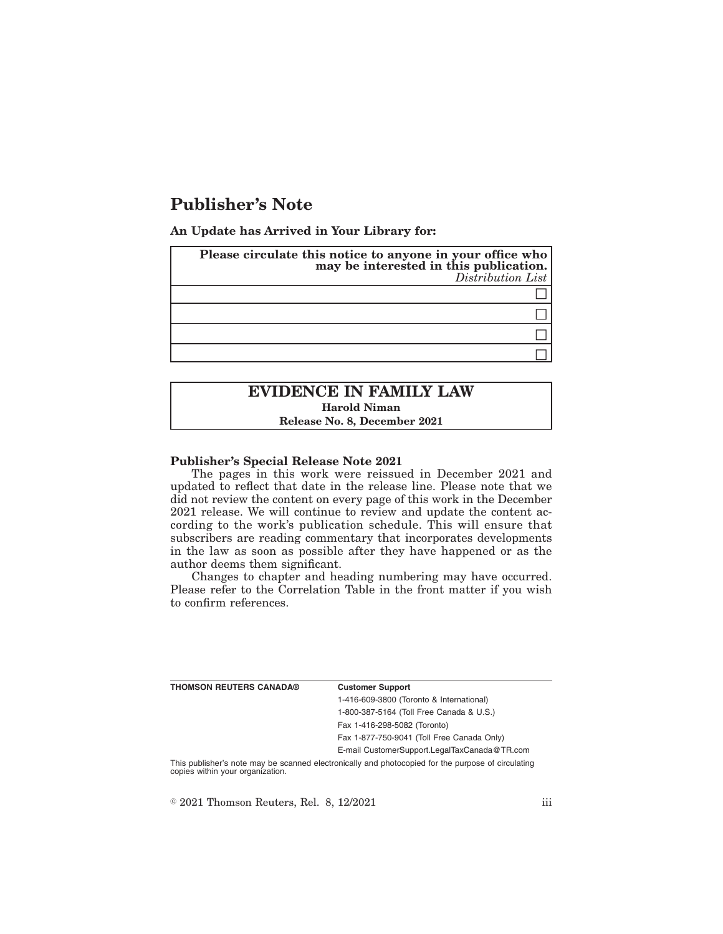# **Publisher's Note**

**An Update has Arrived in Your Library for:**

| Please circulate this notice to anyone in your office who<br>may be interested in this publication. | Distribution List |
|-----------------------------------------------------------------------------------------------------|-------------------|
|                                                                                                     |                   |
|                                                                                                     |                   |
|                                                                                                     |                   |
|                                                                                                     |                   |
|                                                                                                     |                   |

# **EVIDENCE IN FAMILY LAW Harold Niman Release No. 8, December 2021**

#### **Publisher's Special Release Note 2021**

The pages in this work were reissued in December 2021 and updated to reflect that date in the release line. Please note that we did not review the content on every page of this work in the December 2021 release. We will continue to review and update the content according to the work's publication schedule. This will ensure that subscribers are reading commentary that incorporates developments in the law as soon as possible after they have happened or as the author deems them significant.

Changes to chapter and heading numbering may have occurred. Please refer to the Correlation Table in the front matter if you wish to confirm references.

| <b>THOMSON REUTERS CANADA®</b> | <b>Customer Support</b>                      |
|--------------------------------|----------------------------------------------|
|                                | 1-416-609-3800 (Toronto & International)     |
|                                | 1-800-387-5164 (Toll Free Canada & U.S.)     |
|                                | Fax 1-416-298-5082 (Toronto)                 |
|                                | Fax 1-877-750-9041 (Toll Free Canada Only)   |
|                                | E-mail CustomerSupport.LegalTaxCanada@TR.com |

This publisher's note may be scanned electronically and photocopied for the purpose of circulating copies within your organization.

 $\textdegree$  2021 Thomson Reuters, Rel. 8, 12/2021 iii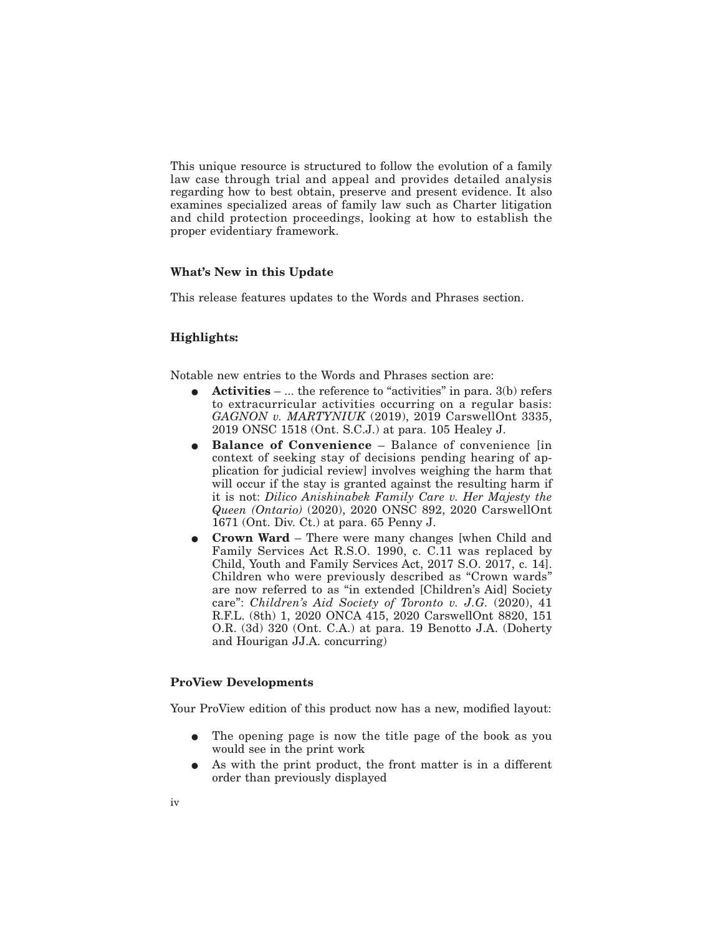This unique resource is structured to follow the evolution of a family law case through trial and appeal and provides detailed analysis regarding how to best obtain, preserve and present evidence. It also examines specialized areas of family law such as Charter litigation and child protection proceedings, looking at how to establish the proper evidentiary framework.

### **What's New in this Update**

This release features updates to the Words and Phrases section.

## **Highlights:**

Notable new entries to the Words and Phrases section are:

- E **Activities** ... the reference to "activities" in para. 3(b) refers to extracurricular activities occurring on a regular basis: *GAGNON v. MARTYNIUK* (2019), 2019 CarswellOnt 3335, 2019 ONSC 1518 (Ont. S.C.J.) at para. 105 Healey J.
- **Balance of Convenience** Balance of convenience [in context of seeking stay of decisions pending hearing of application for judicial review] involves weighing the harm that will occur if the stay is granted against the resulting harm if it is not: *Dilico Anishinabek Family Care v. Her Majesty the Queen (Ontario)* (2020), 2020 ONSC 892, 2020 CarswellOnt 1671 (Ont. Div. Ct.) at para. 65 Penny J.
- **Crown Ward** There were many changes [when Child and Family Services Act R.S.O. 1990, c. C.11 was replaced by Child, Youth and Family Services Act, 2017 S.O. 2017, c. 14]. Children who were previously described as "Crown wards" are now referred to as "in extended [Children's Aid] Society care": *Children's Aid Society of Toronto v. J.G.* (2020), 41 R.F.L. (8th) 1, 2020 ONCA 415, 2020 CarswellOnt 8820, 151 O.R. (3d) 320 (Ont. C.A.) at para. 19 Benotto J.A. (Doherty and Hourigan JJ.A. concurring)

#### **ProView Developments**

Your ProView edition of this product now has a new, modified layout:

- The opening page is now the title page of the book as you would see in the print work
- As with the print product, the front matter is in a different order than previously displayed